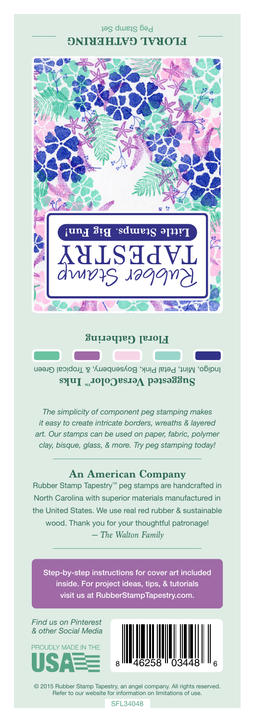### Peg Stamp Set **ELORAL GATHERING**



#### **Floral Gathering**

Indigo, Mint, Petal Pink, Boysenberry, & Tropical Green **Suggested VersaColor** Inks

*The simplicity of component peg stamping makes it easy to create intricate borders, wreaths & layered art. Our stamps can be used on paper, fabric, polymer clay, bisque, glass, & more. Try peg stamping today!*

#### **An American Company**

*— The Walton Family* Rubber Stamp Tapestry™ peg stamps are handcrafted in North Carolina with superior materials manufactured in the United States. We use real red rubber & sustainable wood. Thank you for your thoughtful patronage!

Step-by-step instructions for cover art included inside. For project ideas, tips, & tutorials visit us at RubberStampTapestry.com.

*Find us on Pinterest & other Social Media*





© 2015 Rubber Stamp Tapestry, an angel company. All rights reserved. Refer to our website for information on limitations of use.